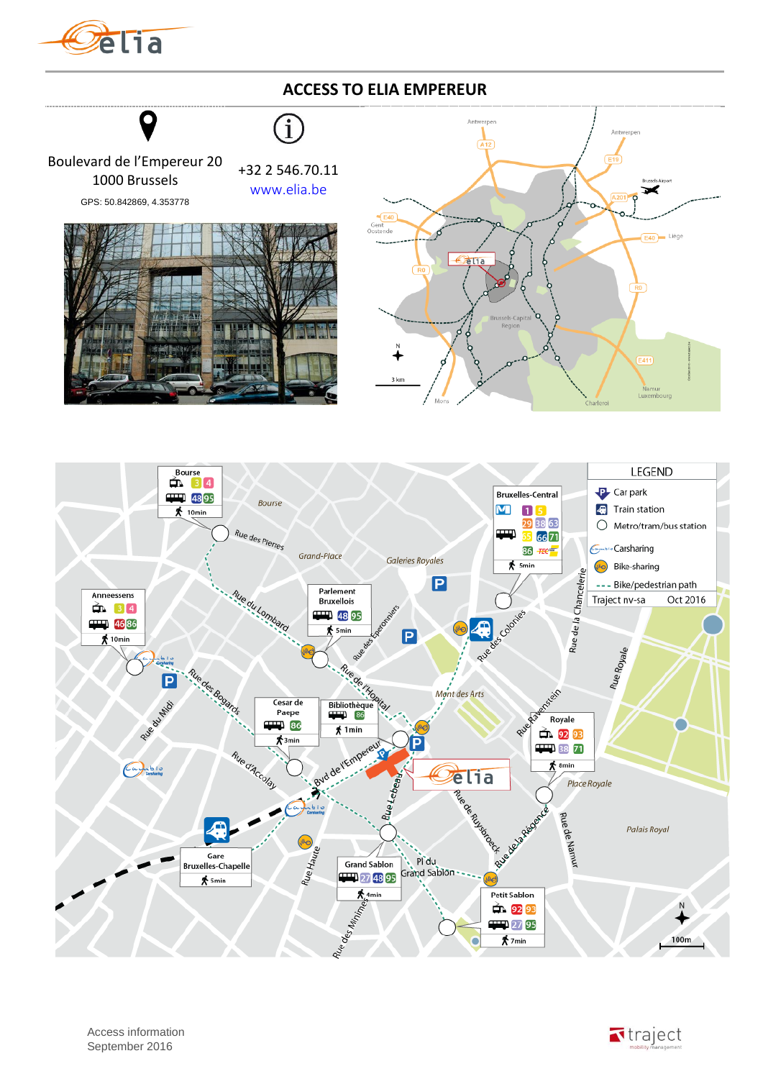

## **ACCESS TO ELIA EMPEREUR**